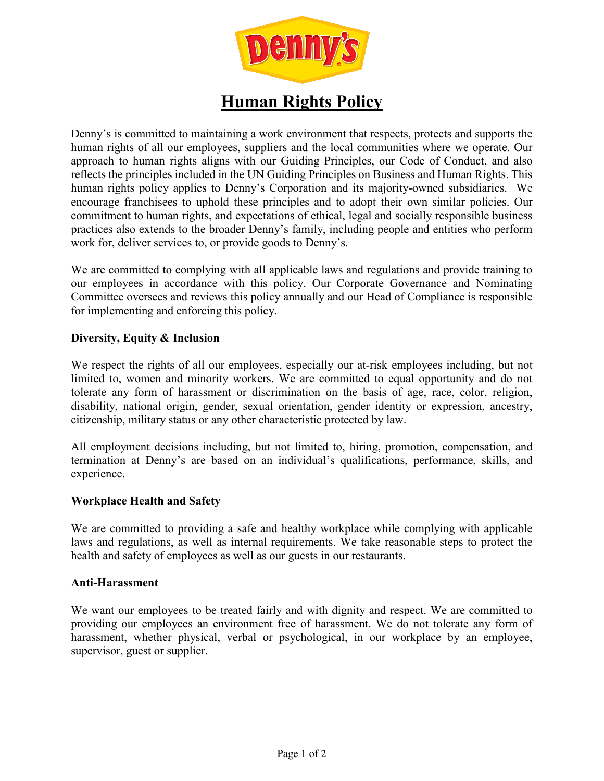

# **Human Rights Policy**

Denny's is committed to maintaining a work environment that respects, protects and supports the human rights of all our employees, suppliers and the local communities where we operate. Our approach to human rights aligns with our Guiding Principles, our Code of Conduct, and also reflects the principles included in the UN Guiding Principles on Business and Human Rights. This human rights policy applies to Denny's Corporation and its majority-owned subsidiaries. We encourage franchisees to uphold these principles and to adopt their own similar policies. Our commitment to human rights, and expectations of ethical, legal and socially responsible business practices also extends to the broader Denny's family, including people and entities who perform work for, deliver services to, or provide goods to Denny's.

We are committed to complying with all applicable laws and regulations and provide training to our employees in accordance with this policy. Our Corporate Governance and Nominating Committee oversees and reviews this policy annually and our Head of Compliance is responsible for implementing and enforcing this policy.

## **Diversity, Equity & Inclusion**

We respect the rights of all our employees, especially our at-risk employees including, but not limited to, women and minority workers. We are committed to equal opportunity and do not tolerate any form of harassment or discrimination on the basis of age, race, color, religion, disability, national origin, gender, sexual orientation, gender identity or expression, ancestry, citizenship, military status or any other characteristic protected by law.

All employment decisions including, but not limited to, hiring, promotion, compensation, and termination at Denny's are based on an individual's qualifications, performance, skills, and experience.

## **Workplace Health and Safety**

We are committed to providing a safe and healthy workplace while complying with applicable laws and regulations, as well as internal requirements. We take reasonable steps to protect the health and safety of employees as well as our guests in our restaurants.

## **Anti-Harassment**

We want our employees to be treated fairly and with dignity and respect. We are committed to providing our employees an environment free of harassment. We do not tolerate any form of harassment, whether physical, verbal or psychological, in our workplace by an employee, supervisor, guest or supplier.